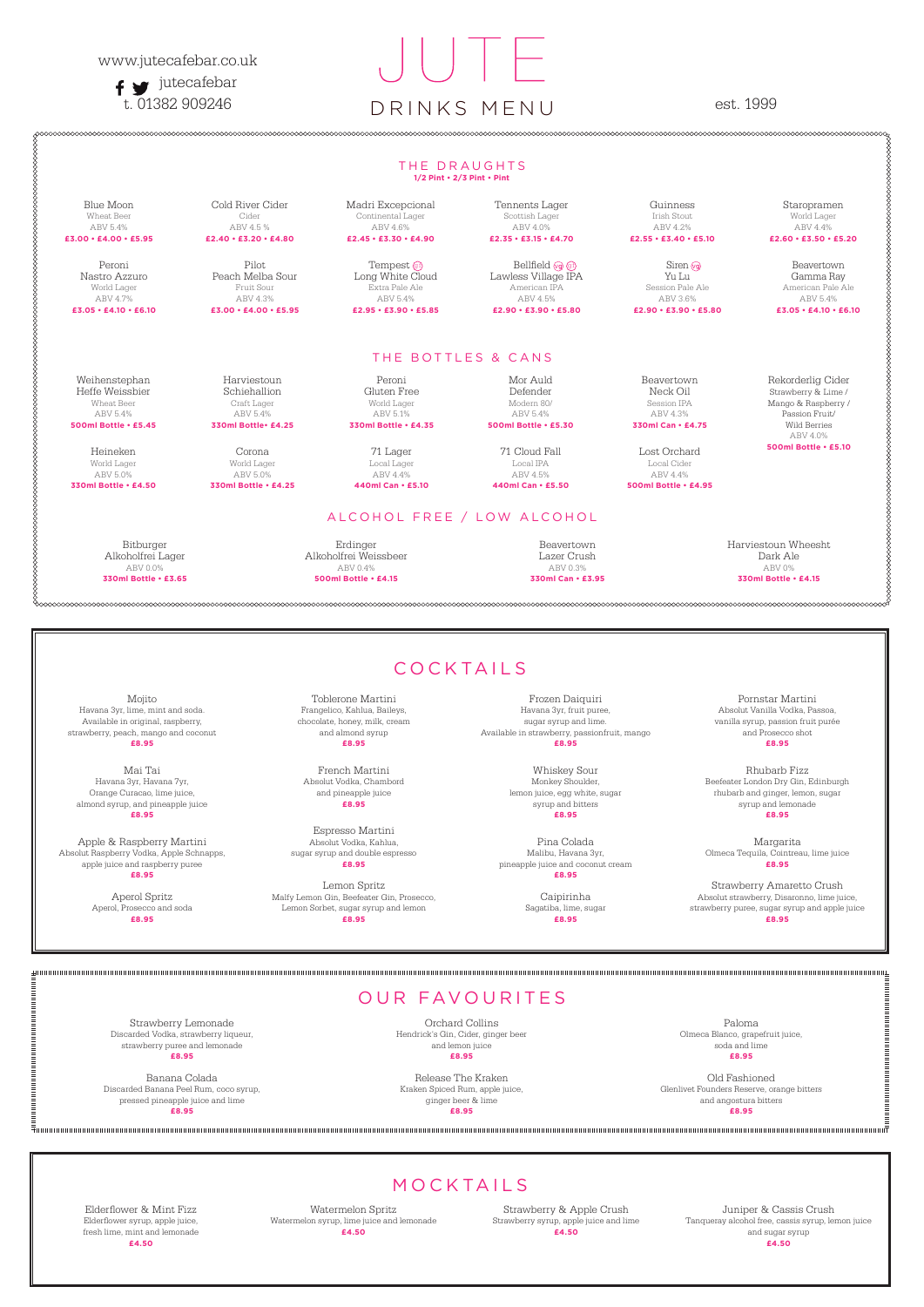### www.jutecafebar.co.uk

 $f \bullet$  jutecafebar

# t. 01382 909246 DRINKS MENU est. 1999

### THE DRAUGHTS **1/2 Pint • 2/3 Pint • Pint** Weihenstephan Heffe Weissbier Wheat Beer ABV 5.4% **500ml Bottle • £5.45** Heineken World Lager ABV 5.0% **330ml Bottle • £4.50** Harviestoun Schiehallion Craft Lager ABV 5.4% **330ml Bottle• £4.25** Corona World Lager ABV 5.0% **330ml Bottle • £4.25** Peroni Gluten Free World Lager ABV 5.1% **330ml Bottle • £4.35** 71 Lager Local Lager ABV 4.4% **440ml Can • £5.10** Mor Auld Defender Modern 80/ ABV 5.4% **500ml Bottle • £5.30** 71 Cloud Fall Local IPA ABV 4.5% **440ml Can • £5.50** Beavertown Neck Oil Session IPA ABV 4.3% **330ml Can • £4.75** Lost Orchard Local Cider ABV 4.4% **500ml Bottle • £4.95** Rekorderlig Cider Strawberry & Lime / Mango & Raspberry / Passion Fruit/ Wild Berries ABV 4.0% **500ml Bottle • £5.10** Blue Moon Wheat Beer ABV 5.4% **£3.00 • £4.00 • £5.95** Cold River Cider Cider ABV 4.5 % **£2.40 • £3.20 • £4.80** Madri Excepcional Continental Lager ABV 4.6% **£2.45 • £3.30 • £4.90** Tennents Lager Scottish Lager ABV 4.0% **£2.35 • £3.15 • £4.70** Guinness Irish Stout ABV 4.2% **£2.55 • £3.40 • £5.10** Staropramen World Lager ABV 4.4% **£2.60 • £3.50 • £5.20** Peroni Nastro Azzuro World Lager ABV 4.7% **£3.05 • £4.10 • £6.10** Pilot Peach Melba Sour Fruit Sour ABV 4.3% **£3.00 • £4.00 • £5.95** Tempest G Long White Cloud Extra Pale Ale ABV 5.4% **£2.95 • £3.90 • £5.85** Bellfield @ @f Lawless Village IPA American IPA ABV 4.5% **£2.90 • £3.90 • £5.80** Siren Yu Lu Session Pale Ale ABV 3.6% **£2.90 • £3.90 • £5.80** Beavertown Gamma Ray American Pale Ale ABV 5.4% **£3.05 • £4.10 • £6.10** ALCOHOL FREE / LOW ALCOHOL Bitburger Alkoholfrei Lager ABV 0.0% **330ml Bottle • £3.65** Erdinger Alkoholfrei Weissbeer ABV 0.4% **500ml Bottle • £4.15** Beavertown Lazer Crush ABV 0.3% **330ml Can • £3.95** Harviestoun Wheesht Dark Ale ABV 0% **330ml Bottle • £4.15** THE BOTTLES & CANS COCKTAILS

## OUR FAVOURITES

Strawberry Lemonade Discarded Vodka, strawberry liqueur, strawberry puree and lemonade **£8.95**

Banana Colada Discarded Banana Peel Rum, coco syrup, pressed pineapple juice and lime **£8.95**

Orchard Collins Hendrick's Gin, Cider, ginger beer and lemon juice **£8.95**

Release The Kraken Kraken Spiced Rum, apple juice, ginger beer & lime **£8.95**

Paloma Olmeca Blanco, grapefruit juice, soda and lime **£8.95**

Old Fashioned Glenlivet Founders Reserve, orange bitters and angostura bitters **£8.95**

Mojito Havana 3yr, lime, mint and soda. Available in original, raspberry, strawberry, peach, mango and coconut **£8.95**

Mai Tai Havana 3yr, Havana 7yr, Orange Curacao, lime juice, almond syrup, and pineapple juice **£8.95**

Apple & Raspberry Martini Absolut Raspberry Vodka, Apple Schnapps, apple juice and raspberry puree **£8.95**

> Aperol Spritz Aperol, Prosecco and soda **£8.95**

Toblerone Martini Frangelico, Kahlua, Baileys, chocolate, honey, milk, cream and almond syrup **£8.95**

French Martini Absolut Vodka, Chambord and pineapple juice **£8.95**

Espresso Martini Absolut Vodka, Kahlua, sugar syrup and double espresso **£8.95**

Lemon Spritz Malfy Lemon Gin, Beefeater Gin, Prosecco, Lemon Sorbet, sugar syrup and lemon **£8.95**

Frozen Daiquiri Havana 3yr, fruit puree, sugar syrup and lime. Available in strawberry, passionfruit, mango **£8.95**

> Whiskey Sour Monkey Shoulder, syrup and bitters

Pina Colada Malibu, Havana 3yr, pineapple juice and coconut cream **£8.95**

> Caipirinha Sagatiba, lime, sugar **£8.95**

lemon juice, egg white, sugar **£8.95** Margarita Olmeca Tequila, Cointreau, lime juice

понициплоновической политической политический

Pornstar Martini Absolut Vanilla Vodka, Passoa, vanilla syrup, passion fruit purée and Prosecco shot **£8.95**

Rhubarb Fizz Beefeater London Dry Gin, Edinburgh

rhubarb and ginger, lemon, sugar syrup and lemonade **£8.95**

**£8.95**

Strawberry Amaretto Crush Absolut strawberry, Disaronno, lime juice, strawberry puree, sugar syrup and apple juice **£8.95**

### MOCKTAILS

Elderflower & Mint Fizz Elderflower syrup, apple juice, fresh lime, mint and lemonade **£4.50**

Watermelon Spritz Watermelon syrup, lime juice and lemonade **£4.50**

Strawberry & Apple Crush Strawberry syrup, apple juice and lime **£4.50**

Juniper & Cassis Crush Tanqueray alcohol free, cassis syrup, lemon juice and sugar syrup **£4.50**